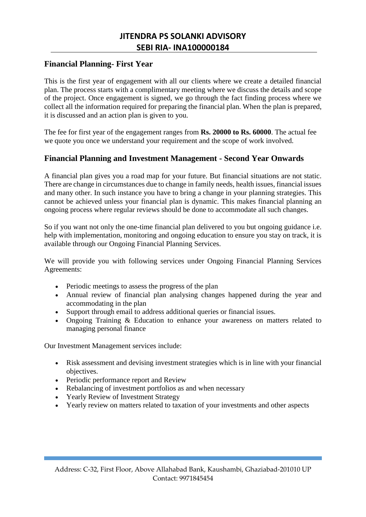## **Financial Planning- First Year**

This is the first year of engagement with all our clients where we create a detailed financial plan. The process starts with a complimentary meeting where we discuss the details and scope of the project. Once engagement is signed, we go through the fact finding process where we collect all the information required for preparing the financial plan. When the plan is prepared, it is discussed and an action plan is given to you.

The fee for first year of the engagement ranges from **Rs. 20000 to Rs. 60000**. The actual fee we quote you once we understand your requirement and the scope of work involved.

## **Financial Planning and Investment Management - Second Year Onwards**

A financial plan gives you a road map for your future. But financial situations are not static. There are change in circumstances due to change in family needs, health issues, financial issues and many other. In such instance you have to bring a change in your planning strategies. This cannot be achieved unless your financial plan is dynamic. This makes financial planning an ongoing process where regular reviews should be done to accommodate all such changes.

So if you want not only the one-time financial plan delivered to you but ongoing guidance i.e. help with implementation, monitoring and ongoing education to ensure you stay on track, it is available through our Ongoing Financial Planning Services.

We will provide you with following services under Ongoing Financial Planning Services Agreements:

- Periodic meetings to assess the progress of the plan
- Annual review of financial plan analysing changes happened during the year and accommodating in the plan
- Support through email to address additional queries or financial issues.
- Ongoing Training & Education to enhance your awareness on matters related to managing personal finance

Our Investment Management services include:

- Risk assessment and devising investment strategies which is in line with your financial objectives.
- Periodic performance report and Review
- Rebalancing of investment portfolios as and when necessary
- Yearly Review of Investment Strategy
- Yearly review on matters related to taxation of your investments and other aspects